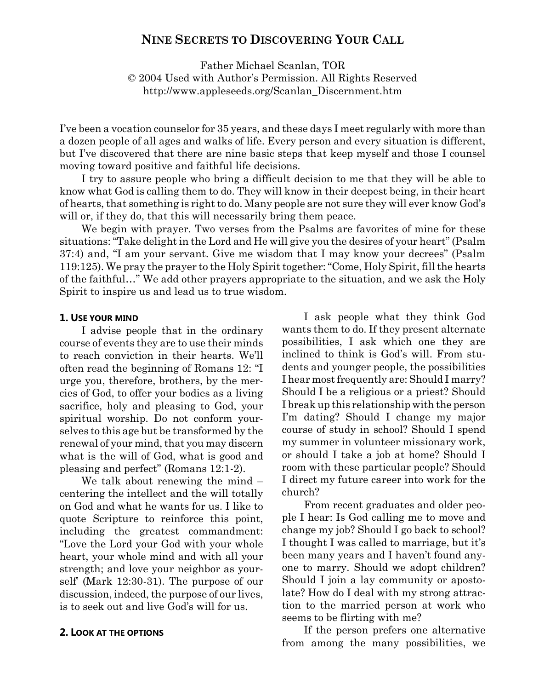# NINE SECRETS TO DISCOVERING YOUR CALL

Father Michael Scanlan, TOR © 2004 Used with Author's Permission. All Rights Reserved http://www.appleseeds.org/Scanlan\_Discernment.htm

I've been a vocation counselor for 35 years, and these days I meet regularly with more than a dozen people of all ages and walks of life. Every person and every situation is different, but I've discovered that there are nine basic steps that keep myself and those I counsel moving toward positive and faithful life decisions.

I try to assure people who bring a difficult decision to me that they will be able to know what God is calling them to do. They will know in their deepest being, in their heart of hearts, that something is right to do. Many people are not sure they will ever know God's will or, if they do, that this will necessarily bring them peace.

We begin with prayer. Two verses from the Psalms are favorites of mine for these situations: "Take delight in the Lord and He will give you the desires of your heart" (Psalm 37:4) and, "I am your servant. Give me wisdom that I may know your decrees" (Psalm 119:125). We pray the prayer to the Holy Spirit together: "Come, Holy Spirit, fill the hearts of the faithful…" We add other prayers appropriate to the situation, and we ask the Holy Spirit to inspire us and lead us to true wisdom.

#### 1. USE YOUR MIND

I advise people that in the ordinary course of events they are to use their minds to reach conviction in their hearts. We'll often read the beginning of Romans 12: "I urge you, therefore, brothers, by the mercies of God, to offer your bodies as a living sacrifice, holy and pleasing to God, your spiritual worship. Do not conform yourselves to this age but be transformed by the renewal of your mind, that you may discern what is the will of God, what is good and pleasing and perfect" (Romans 12:1-2).

We talk about renewing the mind – centering the intellect and the will totally on God and what he wants for us. I like to quote Scripture to reinforce this point, including the greatest commandment: "Love the Lord your God with your whole heart, your whole mind and with all your strength; and love your neighbor as yourself' (Mark 12:30-31). The purpose of our discussion, indeed, the purpose of our lives, is to seek out and live God's will for us.

#### 2. LOOK AT THE OPTIONS

I ask people what they think God wants them to do. If they present alternate possibilities, I ask which one they are inclined to think is God's will. From students and younger people, the possibilities I hear most frequently are: Should I marry? Should I be a religious or a priest? Should I break up this relationship with the person I'm dating? Should I change my major course of study in school? Should I spend my summer in volunteer missionary work, or should I take a job at home? Should I room with these particular people? Should I direct my future career into work for the church?

From recent graduates and older people I hear: Is God calling me to move and change my job? Should I go back to school? I thought I was called to marriage, but it's been many years and I haven't found anyone to marry. Should we adopt children? Should I join a lay community or apostolate? How do I deal with my strong attraction to the married person at work who seems to be flirting with me?

If the person prefers one alternative from among the many possibilities, we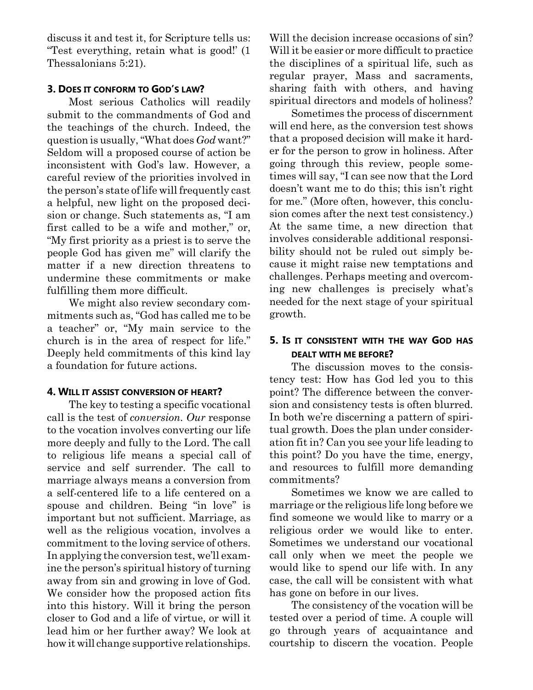discuss it and test it, for Scripture tells us: "Test everything, retain what is good!' (1 Thessalonians 5:21).

### 3. DOES IT CONFORM TO GOD'S LAW?

Most serious Catholics will readily submit to the commandments of God and the teachings of the church. Indeed, the question is usually, "What does God want?" Seldom will a proposed course of action be inconsistent with God's law. However, a careful review of the priorities involved in the person's state of life will frequently cast a helpful, new light on the proposed decision or change. Such statements as, "I am first called to be a wife and mother," or, "My first priority as a priest is to serve the people God has given me" will clarify the matter if a new direction threatens to undermine these commitments or make fulfilling them more difficult.

We might also review secondary commitments such as, "God has called me to be a teacher" or, "My main service to the church is in the area of respect for life." Deeply held commitments of this kind lay a foundation for future actions.

## 4. WILL IT ASSIST CONVERSION OF HEART?

The key to testing a specific vocational call is the test of conversion. Our response to the vocation involves converting our life more deeply and fully to the Lord. The call to religious life means a special call of service and self surrender. The call to marriage always means a conversion from a self-centered life to a life centered on a spouse and children. Being "in love" is important but not sufficient. Marriage, as well as the religious vocation, involves a commitment to the loving service of others. In applying the conversion test, we'll examine the person's spiritual history of turning away from sin and growing in love of God. We consider how the proposed action fits into this history. Will it bring the person closer to God and a life of virtue, or will it lead him or her further away? We look at how it will change supportive relationships.

Will the decision increase occasions of sin? Will it be easier or more difficult to practice the disciplines of a spiritual life, such as regular prayer, Mass and sacraments, sharing faith with others, and having spiritual directors and models of holiness?

Sometimes the process of discernment will end here, as the conversion test shows that a proposed decision will make it harder for the person to grow in holiness. After going through this review, people sometimes will say, "I can see now that the Lord doesn't want me to do this; this isn't right for me." (More often, however, this conclusion comes after the next test consistency.) At the same time, a new direction that involves considerable additional responsibility should not be ruled out simply because it might raise new temptations and challenges. Perhaps meeting and overcoming new challenges is precisely what's needed for the next stage of your spiritual growth.

# 5. IS IT CONSISTENT WITH THE WAY GOD HAS DEALT WITH ME BEFORE?

The discussion moves to the consistency test: How has God led you to this point? The difference between the conversion and consistency tests is often blurred. In both we're discerning a pattern of spiritual growth. Does the plan under consideration fit in? Can you see your life leading to this point? Do you have the time, energy, and resources to fulfill more demanding commitments?

Sometimes we know we are called to marriage or the religious life long before we find someone we would like to marry or a religious order we would like to enter. Sometimes we understand our vocational call only when we meet the people we would like to spend our life with. In any case, the call will be consistent with what has gone on before in our lives.

The consistency of the vocation will be tested over a period of time. A couple will go through years of acquaintance and courtship to discern the vocation. People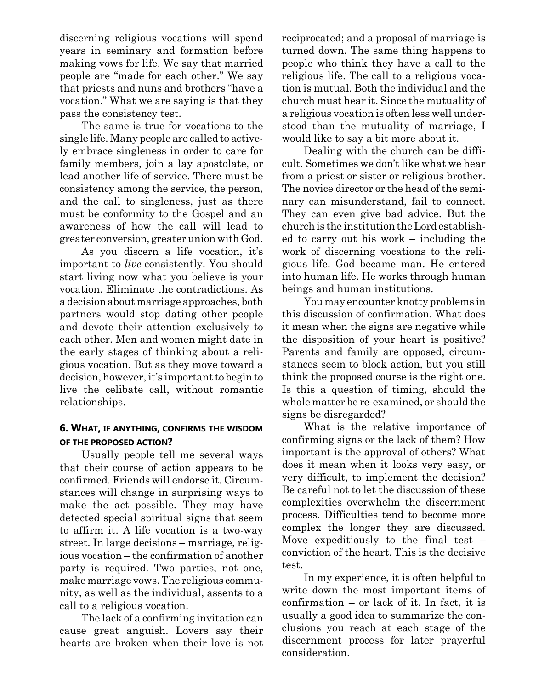discerning religious vocations will spend years in seminary and formation before making vows for life. We say that married people are "made for each other." We say that priests and nuns and brothers "have a vocation." What we are saying is that they pass the consistency test.

The same is true for vocations to the single life. Many people are called to actively embrace singleness in order to care for family members, join a lay apostolate, or lead another life of service. There must be consistency among the service, the person, and the call to singleness, just as there must be conformity to the Gospel and an awareness of how the call will lead to greater conversion, greater union with God.

As you discern a life vocation, it's important to live consistently. You should start living now what you believe is your vocation. Eliminate the contradictions. As a decision about marriage approaches, both partners would stop dating other people and devote their attention exclusively to each other. Men and women might date in the early stages of thinking about a religious vocation. But as they move toward a decision, however, it's important to begin to live the celibate call, without romantic relationships.

## 6. WHAT, IF ANYTHING, CONFIRMS THE WISDOM OF THE PROPOSED ACTION?

Usually people tell me several ways that their course of action appears to be confirmed. Friends will endorse it. Circumstances will change in surprising ways to make the act possible. They may have detected special spiritual signs that seem to affirm it. A life vocation is a two-way street. In large decisions – marriage, religious vocation – the confirmation of another party is required. Two parties, not one, make marriage vows. The religious community, as well as the individual, assents to a call to a religious vocation.

The lack of a confirming invitation can cause great anguish. Lovers say their hearts are broken when their love is not reciprocated; and a proposal of marriage is turned down. The same thing happens to people who think they have a call to the religious life. The call to a religious vocation is mutual. Both the individual and the church must hear it. Since the mutuality of a religious vocation is often less well understood than the mutuality of marriage, I would like to say a bit more about it.

Dealing with the church can be difficult. Sometimes we don't like what we hear from a priest or sister or religious brother. The novice director or the head of the seminary can misunderstand, fail to connect. They can even give bad advice. But the church is the institution the Lord established to carry out his work – including the work of discerning vocations to the religious life. God became man. He entered into human life. He works through human beings and human institutions.

You may encounter knotty problems in this discussion of confirmation. What does it mean when the signs are negative while the disposition of your heart is positive? Parents and family are opposed, circumstances seem to block action, but you still think the proposed course is the right one. Is this a question of timing, should the whole matter be re-examined, or should the signs be disregarded?

What is the relative importance of confirming signs or the lack of them? How important is the approval of others? What does it mean when it looks very easy, or very difficult, to implement the decision? Be careful not to let the discussion of these complexities overwhelm the discernment process. Difficulties tend to become more complex the longer they are discussed. Move expeditiously to the final test – conviction of the heart. This is the decisive test.

In my experience, it is often helpful to write down the most important items of confirmation – or lack of it. In fact, it is usually a good idea to summarize the conclusions you reach at each stage of the discernment process for later prayerful consideration.